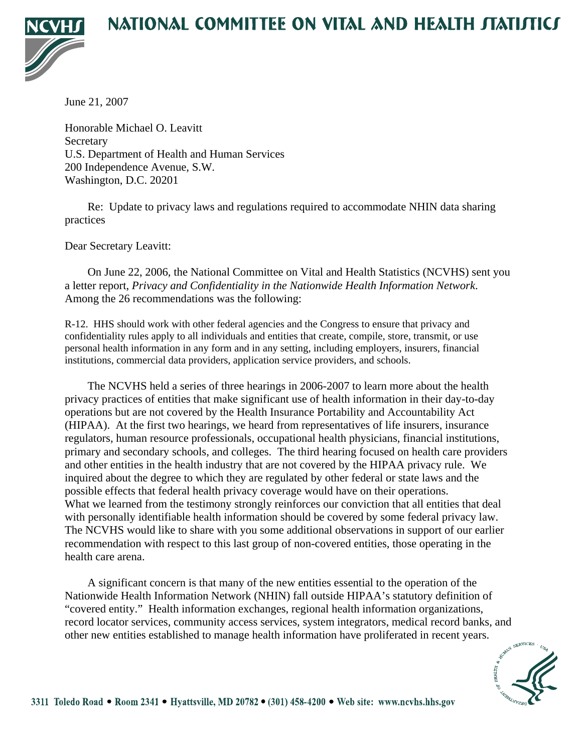## NATIONAL COMMITTEE ON VITAL AND HEALTH JTATIJTICJ



June 21, 2007

Honorable Michael O. Leavitt **Secretary** U.S. Department of Health and Human Services 200 Independence Avenue, S.W. Washington, D.C. 20201

 Re: Update to privacy laws and regulations required to accommodate NHIN data sharing practices

Dear Secretary Leavitt:

 On June 22, 2006, the National Committee on Vital and Health Statistics (NCVHS) sent you a letter report, *Privacy and Confidentiality in the Nationwide Health Information Network*. Among the 26 recommendations was the following:

R-12. HHS should work with other federal agencies and the Congress to ensure that privacy and confidentiality rules apply to all individuals and entities that create, compile, store, transmit, or use personal health information in any form and in any setting, including employers, insurers, financial institutions, commercial data providers, application service providers, and schools.

 The NCVHS held a series of three hearings in 2006-2007 to learn more about the health privacy practices of entities that make significant use of health information in their day-to-day operations but are not covered by the Health Insurance Portability and Accountability Act (HIPAA). At the first two hearings, we heard from representatives of life insurers, insurance regulators, human resource professionals, occupational health physicians, financial institutions, primary and secondary schools, and colleges. The third hearing focused on health care providers and other entities in the health industry that are not covered by the HIPAA privacy rule. We inquired about the degree to which they are regulated by other federal or state laws and the possible effects that federal health privacy coverage would have on their operations. What we learned from the testimony strongly reinforces our conviction that all entities that deal with personally identifiable health information should be covered by some federal privacy law. The NCVHS would like to share with you some additional observations in support of our earlier recommendation with respect to this last group of non-covered entities, those operating in the health care arena.

 A significant concern is that many of the new entities essential to the operation of the Nationwide Health Information Network (NHIN) fall outside HIPAA's statutory definition of "covered entity." Health information exchanges, regional health information organizations, record locator services, community access services, system integrators, medical record banks, and other new entities established to manage health information have proliferated in recent years.

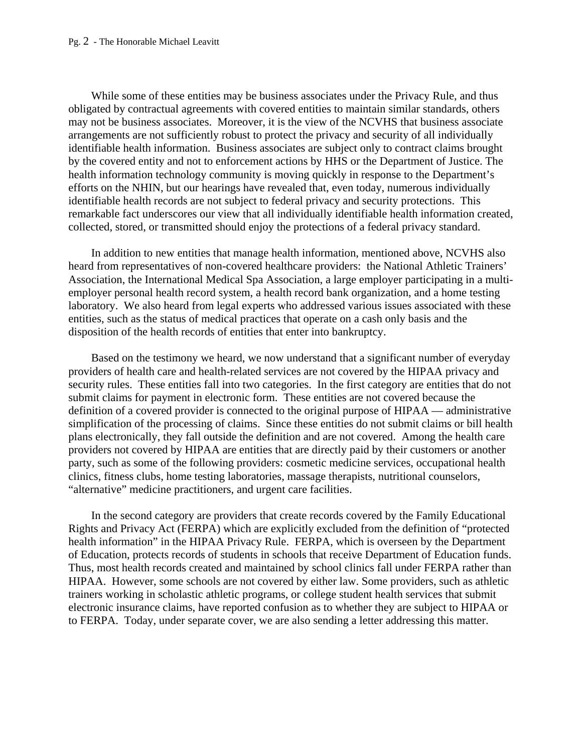## Pg. 2 - The Honorable Michael Leavitt

While some of these entities may be business associates under the Privacy Rule, and thus obligated by contractual agreements with covered entities to maintain similar standards, others may not be business associates. Moreover, it is the view of the NCVHS that business associate arrangements are not sufficiently robust to protect the privacy and security of all individually identifiable health information. Business associates are subject only to contract claims brought by the covered entity and not to enforcement actions by HHS or the Department of Justice. The health information technology community is moving quickly in response to the Department's efforts on the NHIN, but our hearings have revealed that, even today, numerous individually identifiable health records are not subject to federal privacy and security protections. This remarkable fact underscores our view that all individually identifiable health information created, collected, stored, or transmitted should enjoy the protections of a federal privacy standard.

In addition to new entities that manage health information, mentioned above, NCVHS also heard from representatives of non-covered healthcare providers: the National Athletic Trainers' Association, the International Medical Spa Association, a large employer participating in a multiemployer personal health record system, a health record bank organization, and a home testing laboratory. We also heard from legal experts who addressed various issues associated with these entities, such as the status of medical practices that operate on a cash only basis and the disposition of the health records of entities that enter into bankruptcy.

Based on the testimony we heard, we now understand that a significant number of everyday providers of health care and health-related services are not covered by the HIPAA privacy and security rules. These entities fall into two categories. In the first category are entities that do not submit claims for payment in electronic form. These entities are not covered because the definition of a covered provider is connected to the original purpose of HIPAA — administrative simplification of the processing of claims. Since these entities do not submit claims or bill health plans electronically, they fall outside the definition and are not covered. Among the health care providers not covered by HIPAA are entities that are directly paid by their customers or another party, such as some of the following providers: cosmetic medicine services, occupational health clinics, fitness clubs, home testing laboratories, massage therapists, nutritional counselors, "alternative" medicine practitioners, and urgent care facilities.

In the second category are providers that create records covered by the Family Educational Rights and Privacy Act (FERPA) which are explicitly excluded from the definition of "protected health information" in the HIPAA Privacy Rule. FERPA, which is overseen by the Department of Education, protects records of students in schools that receive Department of Education funds. Thus, most health records created and maintained by school clinics fall under FERPA rather than HIPAA. However, some schools are not covered by either law. Some providers, such as athletic trainers working in scholastic athletic programs, or college student health services that submit electronic insurance claims, have reported confusion as to whether they are subject to HIPAA or to FERPA. Today, under separate cover, we are also sending a letter addressing this matter.